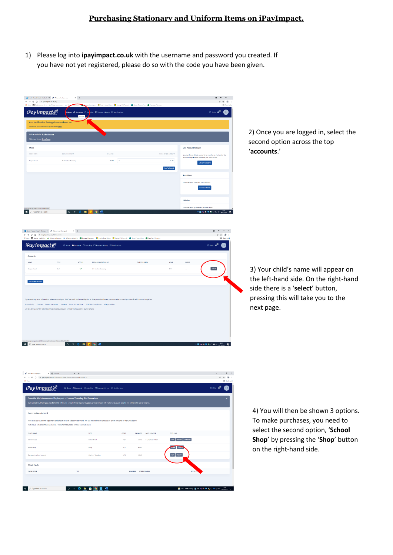## **Purchasing Stationary and Uniform Items on iPayImpact.**

1) Please log into **ipayimpact.co.uk** with the username and password you created. If you have not yet registered, please do so with the code you have been given.

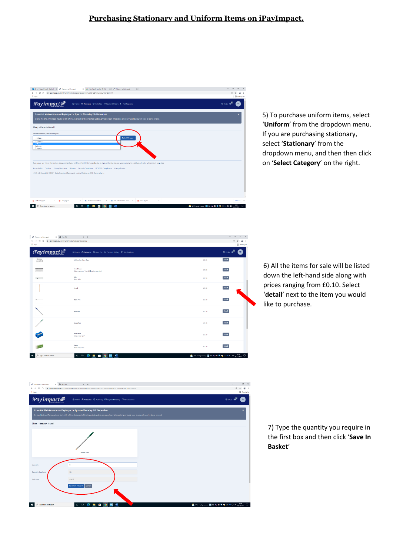## **Purchasing Stationary and Uniform Items on iPayImpact.**

| Or Email: Requelt Hazel - Outlook X @ Welcome to Peyimpect<br>X & AdanNat (Hamilty - Profile X   # Wilcome to iPaympact<br>$x +$                                                                                                                                                         | $\mathcal{L}$<br>$\sigma$<br>$\overline{\phantom{a}}$<br>$\times$ |
|------------------------------------------------------------------------------------------------------------------------------------------------------------------------------------------------------------------------------------------------------------------------------------------|-------------------------------------------------------------------|
| B ipsyimpact.co.uk/IPI/Fund/PreductCategorySelection?FundID=227638JkccountID=2246714<br>α<br>$\leftarrow$ $\rightarrow$<br>$\curvearrowright$                                                                                                                                            | 冷☆<br>œ.                                                          |
| III Apps                                                                                                                                                                                                                                                                                 | <b>EB</b> Rooding for                                             |
| iPayimpact $\equiv$<br>ta Home <b>A Accounts</b> ⊙ Auto Pay □ Payment History □ Notifications                                                                                                                                                                                            | $\odot$ FAQs $\bigoplus$<br>RH                                    |
| Essential Maintenance on iPayimpact - 2pm on Thursday 9th December                                                                                                                                                                                                                       |                                                                   |
| During this time, iPayimpact may be briefly offline. As a result of this important update, any saved card information previously used by you will need to be re-entered.                                                                                                                 |                                                                   |
|                                                                                                                                                                                                                                                                                          |                                                                   |
| Shop - Rageah Hazell                                                                                                                                                                                                                                                                     |                                                                   |
| Please choose a product category                                                                                                                                                                                                                                                         |                                                                   |
| Select Category<br>--- Gelect--<br>$\overline{\phantom{a}}$                                                                                                                                                                                                                              |                                                                   |
| $-$ Select-                                                                                                                                                                                                                                                                              |                                                                   |
|                                                                                                                                                                                                                                                                                          |                                                                   |
| <b>Uniform</b><br>Stationary                                                                                                                                                                                                                                                             |                                                                   |
| IT repairs                                                                                                                                                                                                                                                                               |                                                                   |
|                                                                                                                                                                                                                                                                                          |                                                                   |
|                                                                                                                                                                                                                                                                                          |                                                                   |
|                                                                                                                                                                                                                                                                                          |                                                                   |
| If you need any more information, please contact your child's school. Unfortunately, due to data protection issues, we are unable to assist you directly with account enquiries.<br>Accessibility Cookies Privacy Statement Sitemap Terms & Conditions PCI DSS Compliance Allergy Advice |                                                                   |
| v21.6.6.0 Copyright @ 2021 Cash Registers (Buccleuch) Limited Trading as CRB Cunninghams                                                                                                                                                                                                 |                                                                   |
|                                                                                                                                                                                                                                                                                          |                                                                   |
|                                                                                                                                                                                                                                                                                          |                                                                   |
|                                                                                                                                                                                                                                                                                          |                                                                   |
|                                                                                                                                                                                                                                                                                          |                                                                   |
|                                                                                                                                                                                                                                                                                          |                                                                   |
| <b>Q</b> RHSHTOHT DR. L. dock A<br><b>B</b> die Open<br>ó.<br><b>B</b> <i>mw coach</i><br>RH Rtu 9.12.21.docx<br>м<br>self cert (2) pdf<br>$\mathcal{A}_1$<br>$\lambda$                                                                                                                  | Show all<br>$\mathbb{X}$                                          |

5) To purchase uniform items, select '**Uniform**' from the dropdown menu. If you are purchasing stationary, select '**Stationary**' from the dropdown menu, and then then click on '**Select Category**' on the right.

| <b>C Welcome to Paympact</b><br>x @ New Tab                                                     | $x +$                                                                     |                                                   | v.<br>$\sim$<br>$x^2$                  |
|-------------------------------------------------------------------------------------------------|---------------------------------------------------------------------------|---------------------------------------------------|----------------------------------------|
| C () B ipsympattcouk(IPI/Fund/ProductCstegorySelection<br>$\leftarrow$ $\rightarrow$<br>EE Ares |                                                                           |                                                   | 曾會<br>$\Delta$<br><b>E Reading Int</b> |
| $i$ Payimpact $\equiv$                                                                          | the Home <b>R. Accounts</b> © Auto Pay □ Payment History □ Notifications  |                                                   | $①$ FAQs $\triangle^4$<br>RH           |
| Image<br>Awarted                                                                                | <b>Ark Boulton Gym Bag</b>                                                | 68.00                                             | Detail                                 |
|                                                                                                 | <b>Pencil Case</b><br>Styles may vary" Not Ark Boulton branded.           | £0.50                                             | Detail                                 |
| <b>Common</b>                                                                                   | Ruler<br>15cm Fuler                                                       | £3.90                                             | Detail                                 |
|                                                                                                 | Pencil                                                                    | 63.90                                             | Datail                                 |
|                                                                                                 | <b>Black Pen</b>                                                          | 03.90                                             | Detail                                 |
|                                                                                                 | <b>Blue Pen</b>                                                           | 13,90                                             | Detail                                 |
|                                                                                                 | Green Pen                                                                 | 63.10                                             | Detail                                 |
|                                                                                                 | Sharpener<br>Colour may vary"                                             | 03.90                                             | Detail                                 |
|                                                                                                 | Ecoser<br>Brand may vary"                                                 | £3.90                                             | Detail                                 |
| $P$ Type here to search                                                                         | 硼<br>$O$ H<br>$\bullet$<br>$\overline{\phantom{a}}$<br>۰<br>●<br>$\equiv$ | A c C Party sun w ■ A < ■ U C U FD 44 whitehold D |                                        |

6) All the items for sale will be listed down the left-hand side along with prices ranging from £0.10. Select '**detail**' next to the item you would like to purchase.



7) Type the quantity you require in the first box and then click '**Save In Basket**'